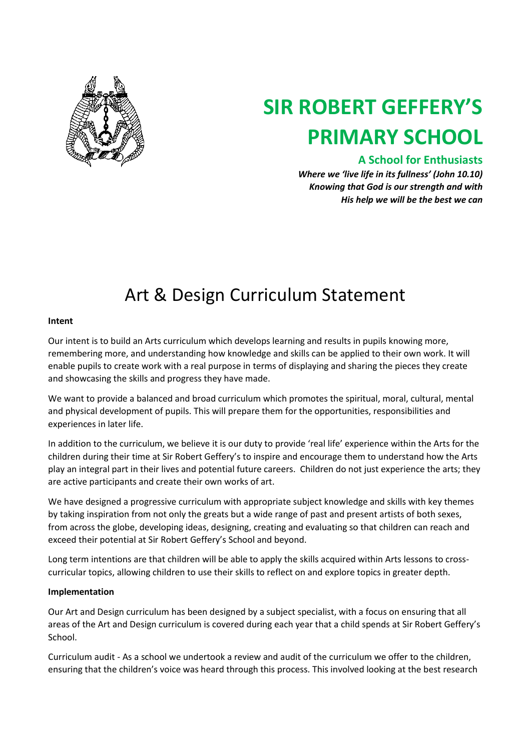

# **SIR ROBERT GEFFERY'S PRIMARY SCHOOL**

### **A School for Enthusiasts**

*Where we 'live life in its fullness' (John 10.10) Knowing that God is our strength and with His help we will be the best we can*

## Art & Design Curriculum Statement

#### **Intent**

Our intent is to build an Arts curriculum which develops learning and results in pupils knowing more, remembering more, and understanding how knowledge and skills can be applied to their own work. It will enable pupils to create work with a real purpose in terms of displaying and sharing the pieces they create and showcasing the skills and progress they have made.

We want to provide a balanced and broad curriculum which promotes the spiritual, moral, cultural, mental and physical development of pupils. This will prepare them for the opportunities, responsibilities and experiences in later life.

In addition to the curriculum, we believe it is our duty to provide 'real life' experience within the Arts for the children during their time at Sir Robert Geffery's to inspire and encourage them to understand how the Arts play an integral part in their lives and potential future careers. Children do not just experience the arts; they are active participants and create their own works of art.

We have designed a progressive curriculum with appropriate subject knowledge and skills with key themes by taking inspiration from not only the greats but a wide range of past and present artists of both sexes, from across the globe, developing ideas, designing, creating and evaluating so that children can reach and exceed their potential at Sir Robert Geffery's School and beyond.

Long term intentions are that children will be able to apply the skills acquired within Arts lessons to crosscurricular topics, allowing children to use their skills to reflect on and explore topics in greater depth.

#### **Implementation**

Our Art and Design curriculum has been designed by a subject specialist, with a focus on ensuring that all areas of the Art and Design curriculum is covered during each year that a child spends at Sir Robert Geffery's School.

Curriculum audit - As a school we undertook a review and audit of the curriculum we offer to the children, ensuring that the children's voice was heard through this process. This involved looking at the best research